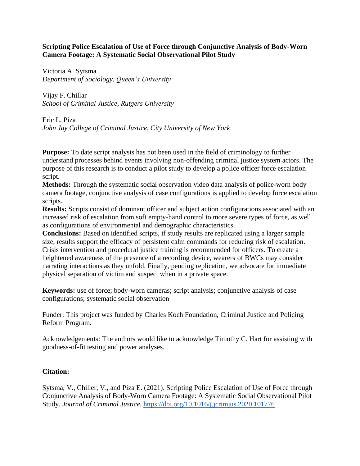## **Scripting Police Escalation of Use of Force through Conjunctive Analysis of Body-Worn Camera Footage: A Systematic Social Observational Pilot Study**

Victoria A. Sytsma *Department of Sociology*, *Queen's University*

Vijay F. Chillar *School of Criminal Justice, Rutgers University*

Eric L. Piza *John Jay College of Criminal Justice, City University of New York*

**Purpose:** To date script analysis has not been used in the field of criminology to further understand processes behind events involving non-offending criminal justice system actors. The purpose of this research is to conduct a pilot study to develop a police officer force escalation script.

**Methods:** Through the systematic social observation video data analysis of police-worn body camera footage, conjunctive analysis of case configurations is applied to develop force escalation scripts.

**Results:** Scripts consist of dominant officer and subject action configurations associated with an increased risk of escalation from soft empty-hand control to more severe types of force, as well as configurations of environmental and demographic characteristics.

**Conclusions:** Based on identified scripts, if study results are replicated using a larger sample size, results support the efficacy of persistent calm commands for reducing risk of escalation. Crisis intervention and procedural justice training is recommended for officers. To create a heightened awareness of the presence of a recording device, wearers of BWCs may consider narrating interactions as they unfold. Finally, pending replication, we advocate for immediate physical separation of victim and suspect when in a private space.

**Keywords:** use of force; body-worn cameras; script analysis; conjunctive analysis of case configurations; systematic social observation

Funder: This project was funded by Charles Koch Foundation, Criminal Justice and Policing Reform Program.

Acknowledgements: The authors would like to acknowledge Timothy C. Hart for assisting with goodness-of-fit testing and power analyses.

# **Citation:**

Sytsma, V., Chiller, V., and Piza E. (2021). Scripting Police Escalation of Use of Force through Conjunctive Analysis of Body-Worn Camera Footage: A Systematic Social Observational Pilot Study. *Journal of Criminal Justice.* <https://doi.org/10.1016/j.jcrimjus.2020.101776>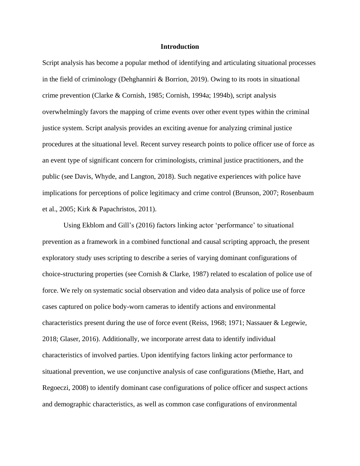#### **Introduction**

Script analysis has become a popular method of identifying and articulating situational processes in the field of criminology (Dehghanniri  $\&$  Borrion, 2019). Owing to its roots in situational crime prevention (Clarke & Cornish, 1985; Cornish, 1994a; 1994b), script analysis overwhelmingly favors the mapping of crime events over other event types within the criminal justice system. Script analysis provides an exciting avenue for analyzing criminal justice procedures at the situational level. Recent survey research points to police officer use of force as an event type of significant concern for criminologists, criminal justice practitioners, and the public (see Davis, Whyde, and Langton, 2018). Such negative experiences with police have implications for perceptions of police legitimacy and crime control (Brunson, 2007; Rosenbaum et al., 2005; Kirk & Papachristos, 2011).

Using Ekblom and Gill's (2016) factors linking actor 'performance' to situational prevention as a framework in a combined functional and causal scripting approach, the present exploratory study uses scripting to describe a series of varying dominant configurations of choice-structuring properties (see Cornish & Clarke, 1987) related to escalation of police use of force. We rely on systematic social observation and video data analysis of police use of force cases captured on police body-worn cameras to identify actions and environmental characteristics present during the use of force event (Reiss, 1968; 1971; Nassauer & Legewie, 2018; Glaser, 2016). Additionally, we incorporate arrest data to identify individual characteristics of involved parties. Upon identifying factors linking actor performance to situational prevention, we use conjunctive analysis of case configurations (Miethe, Hart, and Regoeczi, 2008) to identify dominant case configurations of police officer and suspect actions and demographic characteristics, as well as common case configurations of environmental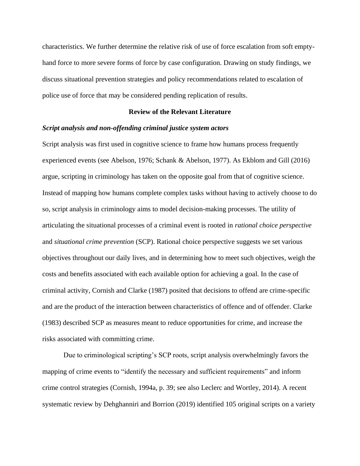characteristics. We further determine the relative risk of use of force escalation from soft emptyhand force to more severe forms of force by case configuration. Drawing on study findings, we discuss situational prevention strategies and policy recommendations related to escalation of police use of force that may be considered pending replication of results.

### **Review of the Relevant Literature**

### *Script analysis and non-offending criminal justice system actors*

Script analysis was first used in cognitive science to frame how humans process frequently experienced events (see Abelson, 1976; Schank & Abelson, 1977). As Ekblom and Gill (2016) argue, scripting in criminology has taken on the opposite goal from that of cognitive science. Instead of mapping how humans complete complex tasks without having to actively choose to do so, script analysis in criminology aims to model decision-making processes. The utility of articulating the situational processes of a criminal event is rooted in *rational choice perspective* and *situational crime prevention* (SCP). Rational choice perspective suggests we set various objectives throughout our daily lives, and in determining how to meet such objectives, weigh the costs and benefits associated with each available option for achieving a goal. In the case of criminal activity, Cornish and Clarke (1987) posited that decisions to offend are crime-specific and are the product of the interaction between characteristics of offence and of offender. Clarke (1983) described SCP as measures meant to reduce opportunities for crime, and increase the risks associated with committing crime.

Due to criminological scripting's SCP roots, script analysis overwhelmingly favors the mapping of crime events to "identify the necessary and sufficient requirements" and inform crime control strategies (Cornish, 1994a, p. 39; see also Leclerc and Wortley, 2014). A recent systematic review by Dehghanniri and Borrion (2019) identified 105 original scripts on a variety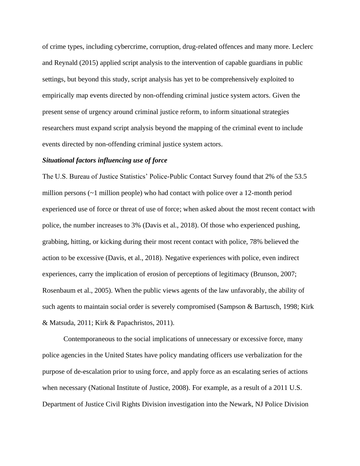of crime types, including cybercrime, corruption, drug-related offences and many more. Leclerc and Reynald (2015) applied script analysis to the intervention of capable guardians in public settings, but beyond this study, script analysis has yet to be comprehensively exploited to empirically map events directed by non-offending criminal justice system actors. Given the present sense of urgency around criminal justice reform, to inform situational strategies researchers must expand script analysis beyond the mapping of the criminal event to include events directed by non-offending criminal justice system actors.

### *Situational factors influencing use of force*

The U.S. Bureau of Justice Statistics' Police-Public Contact Survey found that 2% of the 53.5 million persons  $(-1)$  million people) who had contact with police over a 12-month period experienced use of force or threat of use of force; when asked about the most recent contact with police, the number increases to 3% (Davis et al., 2018). Of those who experienced pushing, grabbing, hitting, or kicking during their most recent contact with police, 78% believed the action to be excessive (Davis, et al., 2018). Negative experiences with police, even indirect experiences, carry the implication of erosion of perceptions of legitimacy (Brunson, 2007; Rosenbaum et al., 2005). When the public views agents of the law unfavorably, the ability of such agents to maintain social order is severely compromised (Sampson & Bartusch, 1998; Kirk & Matsuda, 2011; Kirk & Papachristos, 2011).

Contemporaneous to the social implications of unnecessary or excessive force, many police agencies in the United States have policy mandating officers use verbalization for the purpose of de-escalation prior to using force, and apply force as an escalating series of actions when necessary (National Institute of Justice, 2008). For example, as a result of a 2011 U.S. Department of Justice Civil Rights Division investigation into the Newark, NJ Police Division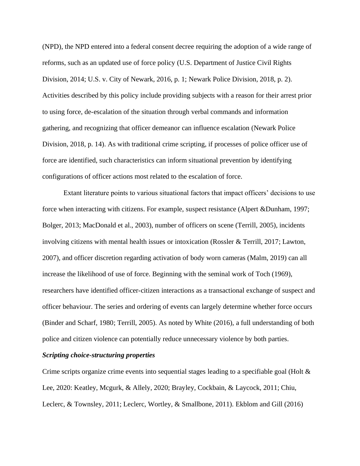(NPD), the NPD entered into a federal consent decree requiring the adoption of a wide range of reforms, such as an updated use of force policy (U.S. Department of Justice Civil Rights Division, 2014; U.S. v. City of Newark, 2016, p. 1; Newark Police Division, 2018, p. 2). Activities described by this policy include providing subjects with a reason for their arrest prior to using force, de-escalation of the situation through verbal commands and information gathering, and recognizing that officer demeanor can influence escalation (Newark Police Division, 2018, p. 14). As with traditional crime scripting, if processes of police officer use of force are identified, such characteristics can inform situational prevention by identifying configurations of officer actions most related to the escalation of force.

Extant literature points to various situational factors that impact officers' decisions to use force when interacting with citizens. For example, suspect resistance (Alpert &Dunham, 1997; Bolger, 2013; MacDonald et al., 2003), number of officers on scene (Terrill, 2005), incidents involving citizens with mental health issues or intoxication (Rossler & Terrill, 2017; Lawton, 2007), and officer discretion regarding activation of body worn cameras (Malm, 2019) can all increase the likelihood of use of force. Beginning with the seminal work of Toch (1969), researchers have identified officer-citizen interactions as a transactional exchange of suspect and officer behaviour. The series and ordering of events can largely determine whether force occurs (Binder and Scharf, 1980; Terrill, 2005). As noted by White (2016), a full understanding of both police and citizen violence can potentially reduce unnecessary violence by both parties.

### *Scripting choice-structuring properties*

Crime scripts organize crime events into sequential stages leading to a specifiable goal (Holt & Lee, 2020: Keatley, Mcgurk, & Allely, 2020; Brayley, Cockbain, & Laycock, 2011; Chiu, Leclerc, & Townsley, 2011; Leclerc, Wortley, & Smallbone, 2011). Ekblom and Gill (2016)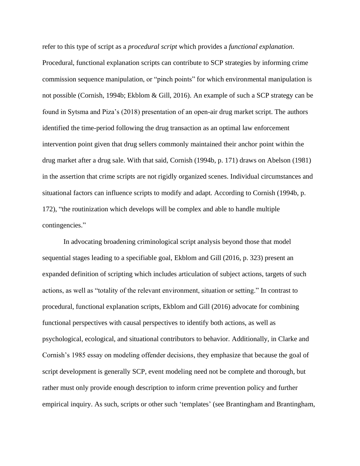refer to this type of script as a *procedural script* which provides a *functional explanation*. Procedural, functional explanation scripts can contribute to SCP strategies by informing crime commission sequence manipulation, or "pinch points" for which environmental manipulation is not possible (Cornish, 1994b; Ekblom & Gill, 2016). An example of such a SCP strategy can be found in Sytsma and Piza's (2018) presentation of an open-air drug market script. The authors identified the time-period following the drug transaction as an optimal law enforcement intervention point given that drug sellers commonly maintained their anchor point within the drug market after a drug sale. With that said, Cornish (1994b, p. 171) draws on Abelson (1981) in the assertion that crime scripts are not rigidly organized scenes. Individual circumstances and situational factors can influence scripts to modify and adapt. According to Cornish (1994b, p. 172), "the routinization which develops will be complex and able to handle multiple contingencies."

In advocating broadening criminological script analysis beyond those that model sequential stages leading to a specifiable goal, Ekblom and Gill (2016, p. 323) present an expanded definition of scripting which includes articulation of subject actions, targets of such actions, as well as "totality of the relevant environment, situation or setting." In contrast to procedural, functional explanation scripts, Ekblom and Gill (2016) advocate for combining functional perspectives with causal perspectives to identify both actions, as well as psychological, ecological, and situational contributors to behavior. Additionally, in Clarke and Cornish's 1985 essay on modeling offender decisions, they emphasize that because the goal of script development is generally SCP, event modeling need not be complete and thorough, but rather must only provide enough description to inform crime prevention policy and further empirical inquiry. As such, scripts or other such 'templates' (see Brantingham and Brantingham,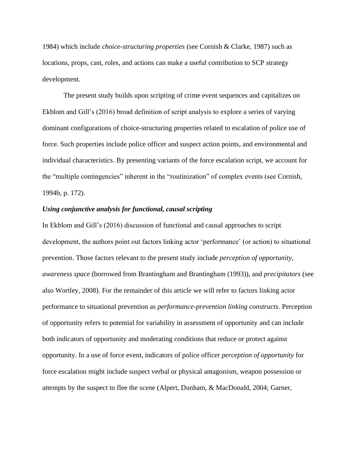1984) which include *choice-structuring properties* (see Cornish & Clarke, 1987) such as locations, props, cast, roles, and actions can make a useful contribution to SCP strategy development.

The present study builds upon scripting of crime event sequences and capitalizes on Ekblom and Gill's (2016) broad definition of script analysis to explore a series of varying dominant configurations of choice-structuring properties related to escalation of police use of force. Such properties include police officer and suspect action points, and environmental and individual characteristics. By presenting variants of the force escalation script, we account for the "multiple contingencies" inherent in the "routinization" of complex events (see Cornish, 1994b, p. 172).

### *Using conjunctive analysis for functional, causal scripting*

In Ekblom and Gill's (2016) discussion of functional and causal approaches to script development, the authors point out factors linking actor 'performance' (or action) to situational prevention. Those factors relevant to the present study include *perception of opportunity*, *awareness space* (borrowed from Brantingham and Brantingham (1993)), and *precipitators* (see also Wortley, 2008). For the remainder of this article we will refer to factors linking actor performance to situational prevention as *performance-prevention linking constructs*. Perception of opportunity refers to potential for variability in assessment of opportunity and can include both indicators of opportunity and moderating conditions that reduce or protect against opportunity. In a use of force event, indicators of police officer *perception of opportunity* for force escalation might include suspect verbal or physical antagonism, weapon possession or attempts by the suspect to flee the scene (Alpert, Dunham, & MacDonald, 2004; Garner,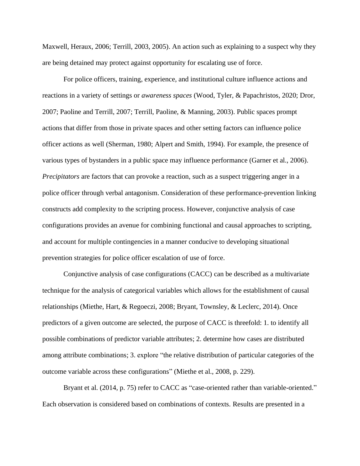Maxwell, Heraux, 2006; Terrill, 2003, 2005). An action such as explaining to a suspect why they are being detained may protect against opportunity for escalating use of force.

For police officers, training, experience, and institutional culture influence actions and reactions in a variety of settings or *awareness spaces* (Wood, Tyler, & Papachristos, 2020; Dror, 2007; Paoline and Terrill, 2007; Terrill, Paoline, & Manning, 2003). Public spaces prompt actions that differ from those in private spaces and other setting factors can influence police officer actions as well (Sherman, 1980; Alpert and Smith, 1994). For example, the presence of various types of bystanders in a public space may influence performance (Garner et al., 2006). *Precipitators* are factors that can provoke a reaction, such as a suspect triggering anger in a police officer through verbal antagonism. Consideration of these performance-prevention linking constructs add complexity to the scripting process. However, conjunctive analysis of case configurations provides an avenue for combining functional and causal approaches to scripting, and account for multiple contingencies in a manner conducive to developing situational prevention strategies for police officer escalation of use of force.

Conjunctive analysis of case configurations (CACC) can be described as a multivariate technique for the analysis of categorical variables which allows for the establishment of causal relationships (Miethe, Hart, & Regoeczi, 2008; Bryant, Townsley, & Leclerc, 2014). Once predictors of a given outcome are selected, the purpose of CACC is threefold: 1. to identify all possible combinations of predictor variable attributes; 2. determine how cases are distributed among attribute combinations; 3. explore "the relative distribution of particular categories of the outcome variable across these configurations" (Miethe et al., 2008, p. 229).

Bryant et al. (2014, p. 75) refer to CACC as "case-oriented rather than variable-oriented." Each observation is considered based on combinations of contexts. Results are presented in a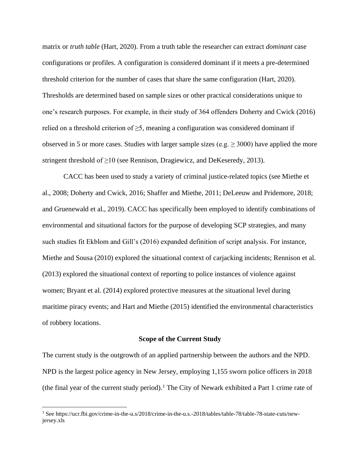matrix or *truth table* (Hart, 2020). From a truth table the researcher can extract *dominant* case configurations or profiles. A configuration is considered dominant if it meets a pre-determined threshold criterion for the number of cases that share the same configuration (Hart, 2020). Thresholds are determined based on sample sizes or other practical considerations unique to one's research purposes. For example, in their study of 364 offenders Doherty and Cwick (2016) relied on a threshold criterion of  $\geq$ 5, meaning a configuration was considered dominant if observed in 5 or more cases. Studies with larger sample sizes (e.g.  $\geq$  3000) have applied the more stringent threshold of  $\geq 10$  (see Rennison, Dragiewicz, and DeKeseredy, 2013).

CACC has been used to study a variety of criminal justice-related topics (see Miethe et al., 2008; Doherty and Cwick, 2016; Shaffer and Miethe, 2011; DeLeeuw and Pridemore, 2018; and Gruenewald et al., 2019). CACC has specifically been employed to identify combinations of environmental and situational factors for the purpose of developing SCP strategies, and many such studies fit Ekblom and Gill's (2016) expanded definition of script analysis. For instance, Miethe and Sousa (2010) explored the situational context of carjacking incidents; Rennison et al. (2013) explored the situational context of reporting to police instances of violence against women; Bryant et al. (2014) explored protective measures at the situational level during maritime piracy events; and Hart and Miethe (2015) identified the environmental characteristics of robbery locations.

### **Scope of the Current Study**

The current study is the outgrowth of an applied partnership between the authors and the NPD. NPD is the largest police agency in New Jersey, employing 1,155 sworn police officers in 2018 (the final year of the current study period).<sup>1</sup> The City of Newark exhibited a Part 1 crime rate of

<sup>1</sup> See https://ucr.fbi.gov/crime-in-the-u.s/2018/crime-in-the-u.s.-2018/tables/table-78/table-78-state-cuts/newjersey.xls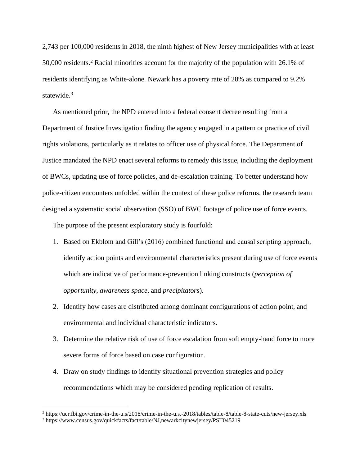2,743 per 100,000 residents in 2018, the ninth highest of New Jersey municipalities with at least 50,000 residents. <sup>2</sup> Racial minorities account for the majority of the population with 26.1% of residents identifying as White-alone. Newark has a poverty rate of 28% as compared to 9.2% statewide.<sup>3</sup>

As mentioned prior, the NPD entered into a federal consent decree resulting from a Department of Justice Investigation finding the agency engaged in a pattern or practice of civil rights violations, particularly as it relates to officer use of physical force. The Department of Justice mandated the NPD enact several reforms to remedy this issue, including the deployment of BWCs, updating use of force policies, and de-escalation training. To better understand how police-citizen encounters unfolded within the context of these police reforms, the research team designed a systematic social observation (SSO) of BWC footage of police use of force events.

The purpose of the present exploratory study is fourfold:

- 1. Based on Ekblom and Gill's (2016) combined functional and causal scripting approach, identify action points and environmental characteristics present during use of force events which are indicative of performance-prevention linking constructs (*perception of opportunity*, *awareness space*, and *precipitators*).
- 2. Identify how cases are distributed among dominant configurations of action point, and environmental and individual characteristic indicators.
- 3. Determine the relative risk of use of force escalation from soft empty-hand force to more severe forms of force based on case configuration.
- 4. Draw on study findings to identify situational prevention strategies and policy recommendations which may be considered pending replication of results.

<sup>2</sup> https://ucr.fbi.gov/crime-in-the-u.s/2018/crime-in-the-u.s.-2018/tables/table-8/table-8-state-cuts/new-jersey.xls

<sup>3</sup> https://www.census.gov/quickfacts/fact/table/NJ,newarkcitynewjersey/PST045219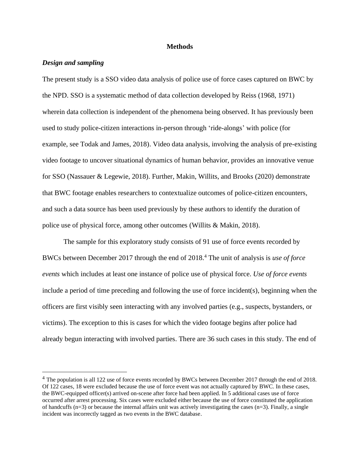### **Methods**

## *Design and sampling*

The present study is a SSO video data analysis of police use of force cases captured on BWC by the NPD. SSO is a systematic method of data collection developed by Reiss (1968, 1971) wherein data collection is independent of the phenomena being observed. It has previously been used to study police-citizen interactions in-person through 'ride-alongs' with police (for example, see Todak and James, 2018). Video data analysis, involving the analysis of pre-existing video footage to uncover situational dynamics of human behavior, provides an innovative venue for SSO (Nassauer & Legewie, 2018). Further, Makin, Willits, and Brooks (2020) demonstrate that BWC footage enables researchers to contextualize outcomes of police-citizen encounters, and such a data source has been used previously by these authors to identify the duration of police use of physical force, among other outcomes (Willits & Makin, 2018).

The sample for this exploratory study consists of 91 use of force events recorded by BWCs between December 2017 through the end of 2018.<sup>4</sup> The unit of analysis is *use of force events* which includes at least one instance of police use of physical force. *Use of force events* include a period of time preceding and following the use of force incident(s), beginning when the officers are first visibly seen interacting with any involved parties (e.g., suspects, bystanders, or victims). The exception to this is cases for which the video footage begins after police had already begun interacting with involved parties. There are 36 such cases in this study. The end of

<sup>&</sup>lt;sup>4</sup> The population is all 122 use of force events recorded by BWCs between December 2017 through the end of 2018. Of 122 cases, 18 were excluded because the use of force event was not actually captured by BWC. In these cases, the BWC-equipped officer(s) arrived on-scene after force had been applied. In 5 additional cases use of force occurred after arrest processing. Six cases were excluded either because the use of force constituted the application of handcuffs  $(n=3)$  or because the internal affairs unit was actively investigating the cases  $(n=3)$ . Finally, a single incident was incorrectly tagged as two events in the BWC database.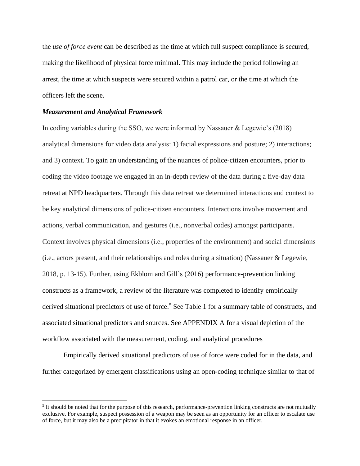the *use of force event* can be described as the time at which full suspect compliance is secured, making the likelihood of physical force minimal. This may include the period following an arrest, the time at which suspects were secured within a patrol car, or the time at which the officers left the scene.

#### *Measurement and Analytical Framework*

In coding variables during the SSO, we were informed by Nassauer & Legewie's (2018) analytical dimensions for video data analysis: 1) facial expressions and posture; 2) interactions; and 3) context. To gain an understanding of the nuances of police-citizen encounters, prior to coding the video footage we engaged in an in-depth review of the data during a five-day data retreat at NPD headquarters. Through this data retreat we determined interactions and context to be key analytical dimensions of police-citizen encounters. Interactions involve movement and actions, verbal communication, and gestures (i.e., nonverbal codes) amongst participants. Context involves physical dimensions (i.e., properties of the environment) and social dimensions (i.e., actors present, and their relationships and roles during a situation) (Nassauer & Legewie, 2018, p. 13-15). Further, using Ekblom and Gill's (2016) performance-prevention linking constructs as a framework, a review of the literature was completed to identify empirically derived situational predictors of use of force.<sup>5</sup> See Table 1 for a summary table of constructs, and associated situational predictors and sources. See APPENDIX A for a visual depiction of the workflow associated with the measurement, coding, and analytical procedures

Empirically derived situational predictors of use of force were coded for in the data, and further categorized by emergent classifications using an open-coding technique similar to that of

<sup>&</sup>lt;sup>5</sup> It should be noted that for the purpose of this research, performance-prevention linking constructs are not mutually exclusive. For example, suspect possession of a weapon may be seen as an opportunity for an officer to escalate use of force, but it may also be a precipitator in that it evokes an emotional response in an officer.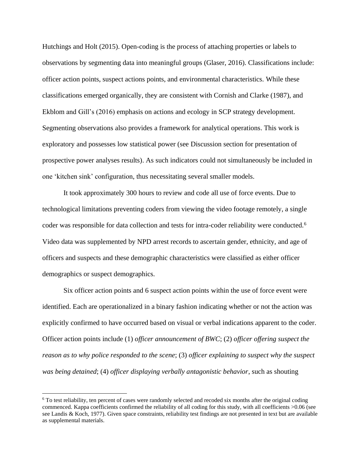Hutchings and Holt (2015). Open-coding is the process of attaching properties or labels to observations by segmenting data into meaningful groups (Glaser, 2016). Classifications include: officer action points, suspect actions points, and environmental characteristics. While these classifications emerged organically, they are consistent with Cornish and Clarke (1987), and Ekblom and Gill's (2016) emphasis on actions and ecology in SCP strategy development. Segmenting observations also provides a framework for analytical operations. This work is exploratory and possesses low statistical power (see Discussion section for presentation of prospective power analyses results). As such indicators could not simultaneously be included in one 'kitchen sink' configuration, thus necessitating several smaller models.

It took approximately 300 hours to review and code all use of force events. Due to technological limitations preventing coders from viewing the video footage remotely, a single coder was responsible for data collection and tests for intra-coder reliability were conducted.<sup>6</sup> Video data was supplemented by NPD arrest records to ascertain gender, ethnicity, and age of officers and suspects and these demographic characteristics were classified as either officer demographics or suspect demographics.

Six officer action points and 6 suspect action points within the use of force event were identified. Each are operationalized in a binary fashion indicating whether or not the action was explicitly confirmed to have occurred based on visual or verbal indications apparent to the coder. Officer action points include (1) *officer announcement of BWC*; (2) *officer offering suspect the reason as to why police responded to the scene*; (3) *officer explaining to suspect why the suspect was being detained*; (4) *officer displaying verbally antagonistic behavior*, such as shouting

<sup>6</sup> To test reliability, ten percent of cases were randomly selected and recoded six months after the original coding commenced. Kappa coefficients confirmed the reliability of all coding for this study, with all coefficients >0.06 (see see Landis & Koch, 1977). Given space constraints, reliability test findings are not presented in text but are available as supplemental materials.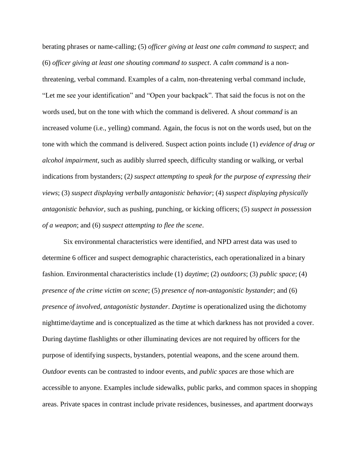berating phrases or name-calling; (5) *officer giving at least one calm command to suspect*; and (6) *officer giving at least one shouting command to suspect*. A *calm command* is a nonthreatening, verbal command. Examples of a calm, non-threatening verbal command include, "Let me see your identification" and "Open your backpack". That said the focus is not on the words used, but on the tone with which the command is delivered. A *shout command* is an increased volume (i.e., yelling) command. Again, the focus is not on the words used, but on the tone with which the command is delivered. Suspect action points include (1) *evidence of drug or alcohol impairment*, such as audibly slurred speech, difficulty standing or walking, or verbal indications from bystanders; (2*) suspect attempting to speak for the purpose of expressing their views*; (3) *suspect displaying verbally antagonistic behavior*; (4) *suspect displaying physically antagonistic behavior*, such as pushing, punching, or kicking officers; (5) *suspect in possession of a weapon*; and (6) *suspect attempting to flee the scene*.

Six environmental characteristics were identified, and NPD arrest data was used to determine 6 officer and suspect demographic characteristics, each operationalized in a binary fashion. Environmental characteristics include (1) *daytime*; (2) *outdoors*; (3) *public space*; (4) *presence of the crime victim on scene*; (5) *presence of non-antagonistic bystander*; and (6) *presence of involved, antagonistic bystander*. *Daytime* is operationalized using the dichotomy nighttime/daytime and is conceptualized as the time at which darkness has not provided a cover. During daytime flashlights or other illuminating devices are not required by officers for the purpose of identifying suspects, bystanders, potential weapons, and the scene around them. *Outdoor* events can be contrasted to indoor events, and *public spaces* are those which are accessible to anyone. Examples include sidewalks, public parks, and common spaces in shopping areas. Private spaces in contrast include private residences, businesses, and apartment doorways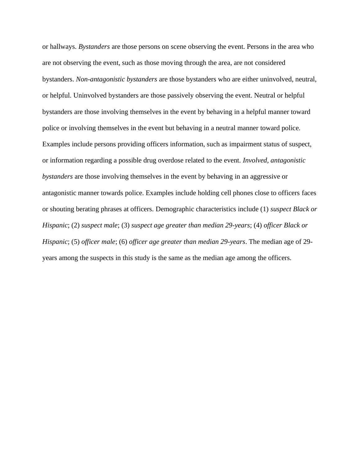or hallways. *Bystanders* are those persons on scene observing the event. Persons in the area who are not observing the event, such as those moving through the area, are not considered bystanders. *Non-antagonistic bystanders* are those bystanders who are either uninvolved, neutral, or helpful. Uninvolved bystanders are those passively observing the event. Neutral or helpful bystanders are those involving themselves in the event by behaving in a helpful manner toward police or involving themselves in the event but behaving in a neutral manner toward police. Examples include persons providing officers information, such as impairment status of suspect, or information regarding a possible drug overdose related to the event. *Involved, antagonistic bystanders* are those involving themselves in the event by behaving in an aggressive or antagonistic manner towards police. Examples include holding cell phones close to officers faces or shouting berating phrases at officers. Demographic characteristics include (1) *suspect Black or Hispanic*; (2) *suspect male*; (3) *suspect age greater than median 29-years*; (4) *officer Black or Hispanic*; (5) *officer male*; (6) *officer age greater than median 29-years*. The median age of 29 years among the suspects in this study is the same as the median age among the officers.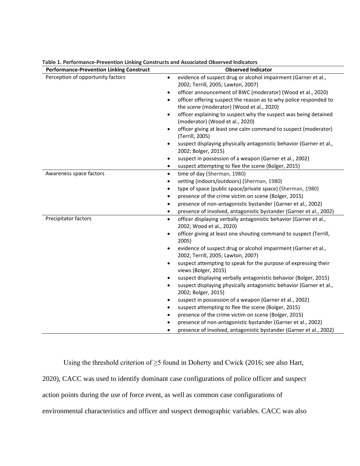| <b>Performance-Prevention Linking Construct</b> | <b>Observed Indicator</b>                                                                                                   |
|-------------------------------------------------|-----------------------------------------------------------------------------------------------------------------------------|
| Perception of opportunity factors               | evidence of suspect drug or alcohol impairment (Garner et al.,<br>$\bullet$<br>2002; Terrill, 2005; Lawton, 2007)           |
|                                                 | officer announcement of BWC (moderator) (Wood et al., 2020)<br>$\bullet$                                                    |
|                                                 | officer offering suspect the reason as to why police responded to<br>$\bullet$<br>the scene (moderator) (Wood et al., 2020) |
|                                                 | officer explaining to suspect why the suspect was being detained<br>$\bullet$<br>(moderator) (Wood et al., 2020)            |
|                                                 | officer giving at least one calm command to suspect (moderator)<br>$\bullet$<br>(Terrill, 2005)                             |
|                                                 | suspect displaying physically antagonistic behavior (Garner et al.,<br>$\bullet$<br>2002; Bolger, 2015)                     |
|                                                 | suspect in possession of a weapon (Garner et al., 2002)<br>٠                                                                |
|                                                 | suspect attempting to flee the scene (Bolger, 2015)<br>$\bullet$                                                            |
| Awareness space factors                         | time of day (Sherman, 1980)<br>$\bullet$                                                                                    |
|                                                 | setting (indoors/outdoors) (Sherman, 1980)<br>$\bullet$                                                                     |
|                                                 | type of space (public space/private space) (Sherman, 1980)<br>$\bullet$                                                     |
|                                                 | presence of the crime victim on scene (Bolger, 2015)<br>$\bullet$                                                           |
|                                                 | presence of non-antagonistic bystander (Garner et al., 2002)<br>$\bullet$                                                   |
|                                                 | presence of involved, antagonistic bystander (Garner et al., 2002)                                                          |
| Precipitator factors                            | officer displaying verbally antagonistic behavior (Garner et al.,<br>$\bullet$<br>2002; Wood et al., 2020)                  |
|                                                 | officer giving at least one shouting command to suspect (Terrill,<br>$\bullet$<br>2005)                                     |
|                                                 | evidence of suspect drug or alcohol impairment (Garner et al.,<br>$\bullet$<br>2002; Terrill, 2005; Lawton, 2007)           |
|                                                 | suspect attempting to speak for the purpose of expressing their<br>٠<br>views (Bolger, 2015)                                |
|                                                 | suspect displaying verbally antagonistic behavior (Bolger, 2015)<br>$\bullet$                                               |
|                                                 | suspect displaying physically antagonistic behavior (Garner et al.,<br>$\bullet$<br>2002; Bolger, 2015)                     |
|                                                 | suspect in possession of a weapon (Garner et al., 2002)<br>$\bullet$                                                        |
|                                                 | suspect attempting to flee the scene (Bolger, 2015)<br>$\bullet$                                                            |
|                                                 | presence of the crime victim on scene (Bolger, 2015)<br>$\bullet$                                                           |
|                                                 | presence of non-antagonistic bystander (Garner et al., 2002)                                                                |
|                                                 | presence of involved, antagonistic bystander (Garner et al., 2002)                                                          |

**Table 1. Performance-Prevention Linking Constructs and Associated Observed Indicators**

Using the threshold criterion of ≥5 found in Doherty and Cwick (2016; see also Hart, 2020), CACC was used to identify dominant case configurations of police officer and suspect action points during the use of force event, as well as common case configurations of environmental characteristics and officer and suspect demographic variables. CACC was also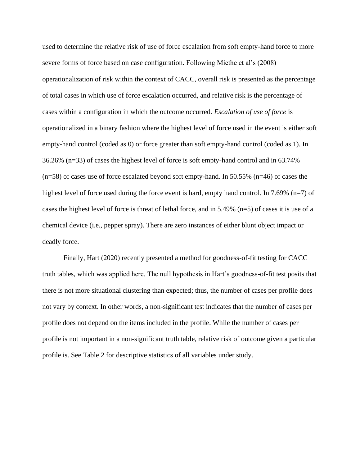used to determine the relative risk of use of force escalation from soft empty-hand force to more severe forms of force based on case configuration. Following Miethe et al's (2008) operationalization of risk within the context of CACC, overall risk is presented as the percentage of total cases in which use of force escalation occurred, and relative risk is the percentage of cases within a configuration in which the outcome occurred. *Escalation of use of force* is operationalized in a binary fashion where the highest level of force used in the event is either soft empty-hand control (coded as 0) or force greater than soft empty-hand control (coded as 1). In 36.26% (n=33) of cases the highest level of force is soft empty-hand control and in 63.74%  $(n=58)$  of cases use of force escalated beyond soft empty-hand. In 50.55%  $(n=46)$  of cases the highest level of force used during the force event is hard, empty hand control. In 7.69% (n=7) of cases the highest level of force is threat of lethal force, and in 5.49% (n=5) of cases it is use of a chemical device (i.e., pepper spray). There are zero instances of either blunt object impact or deadly force.

Finally, Hart (2020) recently presented a method for goodness-of-fit testing for CACC truth tables, which was applied here. The null hypothesis in Hart's goodness-of-fit test posits that there is not more situational clustering than expected; thus, the number of cases per profile does not vary by context. In other words, a non-significant test indicates that the number of cases per profile does not depend on the items included in the profile. While the number of cases per profile is not important in a non-significant truth table, relative risk of outcome given a particular profile is. See Table 2 for descriptive statistics of all variables under study.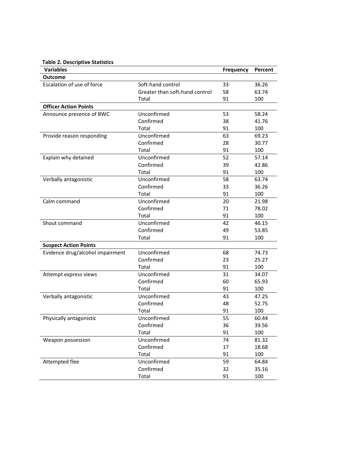|  |  | <b>Table 2. Descriptive Statistics</b> |  |
|--|--|----------------------------------------|--|
|--|--|----------------------------------------|--|

| <b>Variables</b>                 |                                | <b>Frequency</b> | Percent |
|----------------------------------|--------------------------------|------------------|---------|
| <b>Outcome</b>                   |                                |                  |         |
| Escalation of use of force       | Soft-hand control              | 33               | 36.26   |
|                                  | Greater than soft-hand control | 58               | 63.74   |
|                                  | Total                          | 91               | 100     |
| <b>Officer Action Points</b>     |                                |                  |         |
| Announce presence of BWC         | Unconfirmed                    | 53               | 58.24   |
|                                  | Confirmed                      | 38               | 41.76   |
|                                  | Total                          | 91               | 100     |
| Provide reason responding        | Unconfirmed                    | 63               | 69.23   |
|                                  | Confirmed                      | 28               | 30.77   |
|                                  | Total                          | 91               | 100     |
| Explain why detained             | Unconfirmed                    | 52               | 57.14   |
|                                  | Confirmed                      | 39               | 42.86   |
|                                  | Total                          | 91               | 100     |
| Verbally antagonistic            | Unconfirmed                    | 58               | 63.74   |
|                                  | Confirmed                      | 33               | 36.26   |
|                                  | Total                          | 91               | 100     |
| Calm command                     | Unconfirmed                    | 20               | 21.98   |
|                                  | Confirmed                      | 71               | 78.02   |
|                                  | Total                          | 91               | 100     |
| Shout command                    | Unconfirmed                    | 42               | 46.15   |
|                                  | Confirmed                      | 49               | 53.85   |
|                                  | Total                          | 91               | 100     |
| <b>Suspect Action Points</b>     |                                |                  |         |
| Evidence drug/alcohol impairment | Unconfirmed                    | 68               | 74.73   |
|                                  | Confirmed                      | 23               | 25.27   |
|                                  | Total                          | 91               | 100     |
| Attempt express views            | Unconfirmed                    | 31               | 34.07   |
|                                  | Confirmed                      | 60               | 65.93   |
|                                  | Total                          | 91               | 100     |
| Verbally antagonistic            | Unconfirmed                    | 43               | 47.25   |
|                                  | Confirmed                      | 48               | 52.75   |
|                                  | Total                          | 91               | 100     |
| Physically antagonistic          | Unconfirmed                    | 55               | 60.44   |
|                                  | Confirmed                      | 36               | 39.56   |
|                                  | Total                          | 91               | 100     |
| Weapon possession                | Unconfirmed                    | 74               | 81.32   |
|                                  | Confirmed                      | 17               | 18.68   |
|                                  | Total                          | 91               | 100     |
| Attempted flee                   | Unconfirmed                    | 59               | 64.84   |
|                                  | Confirmed                      | 32               | 35.16   |
|                                  | Total                          | 91               | 100     |
|                                  |                                |                  |         |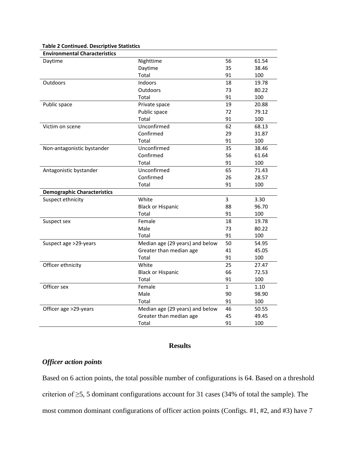| <b>Environmental Characteristics</b> |                                 |              |       |
|--------------------------------------|---------------------------------|--------------|-------|
| Daytime                              | Nighttime                       | 56           | 61.54 |
|                                      | Daytime                         | 35           | 38.46 |
|                                      | Total                           | 91           | 100   |
| <b>Outdoors</b>                      | Indoors                         | 18           | 19.78 |
|                                      | Outdoors                        | 73           | 80.22 |
|                                      | Total                           | 91           | 100   |
| Public space                         | Private space                   | 19           | 20.88 |
|                                      | Public space                    | 72           | 79.12 |
|                                      | Total                           | 91           | 100   |
| Victim on scene                      | Unconfirmed                     | 62           | 68.13 |
|                                      | Confirmed                       | 29           | 31.87 |
|                                      | Total                           | 91           | 100   |
| Non-antagonistic bystander           | Unconfirmed                     | 35           | 38.46 |
|                                      | Confirmed                       | 56           | 61.64 |
|                                      | Total                           | 91           | 100   |
| Antagonistic bystander               | Unconfirmed                     | 65           | 71.43 |
|                                      | Confirmed                       | 26           | 28.57 |
|                                      | Total                           | 91           | 100   |
| <b>Demographic Characteristics</b>   |                                 |              |       |
| Suspect ethnicity                    | White                           | 3            | 3.30  |
|                                      | <b>Black or Hispanic</b>        | 88           | 96.70 |
|                                      | Total                           | 91           | 100   |
| Suspect sex                          | Female                          | 18           | 19.78 |
|                                      | Male                            | 73           | 80.22 |
|                                      | Total                           | 91           | 100   |
| Suspect age >29-years                | Median age (29 years) and below | 50           | 54.95 |
|                                      | Greater than median age         | 41           | 45.05 |
|                                      | Total                           | 91           | 100   |
| Officer ethnicity                    | White                           | 25           | 27.47 |
|                                      | <b>Black or Hispanic</b>        | 66           | 72.53 |
|                                      | Total                           | 91           | 100   |
| Officer sex                          | Female                          | $\mathbf{1}$ | 1.10  |
|                                      | Male                            | 90           | 98.90 |
|                                      | Total                           | 91           | 100   |
| Officer age >29-years                | Median age (29 years) and below | 46           | 50.55 |
|                                      | Greater than median age         | 45           | 49.45 |
|                                      | Total                           | 91           | 100   |

### **Table 2 Continued. Descriptive Statistics**

## **Results**

# *Officer action points*

Based on 6 action points, the total possible number of configurations is 64. Based on a threshold criterion of ≥5, 5 dominant configurations account for 31 cases (34% of total the sample). The most common dominant configurations of officer action points (Configs. #1, #2, and #3) have 7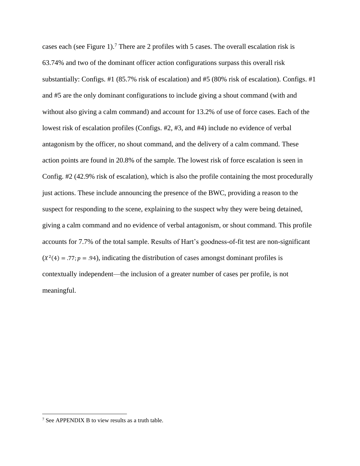cases each (see Figure 1). <sup>7</sup> There are 2 profiles with 5 cases. The overall escalation risk is 63.74% and two of the dominant officer action configurations surpass this overall risk substantially: Configs. #1 (85.7% risk of escalation) and #5 (80% risk of escalation). Configs. #1 and #5 are the only dominant configurations to include giving a shout command (with and without also giving a calm command) and account for 13.2% of use of force cases. Each of the lowest risk of escalation profiles (Configs. #2, #3, and #4) include no evidence of verbal antagonism by the officer, no shout command, and the delivery of a calm command. These action points are found in 20.8% of the sample. The lowest risk of force escalation is seen in Config. #2 (42.9% risk of escalation), which is also the profile containing the most procedurally just actions. These include announcing the presence of the BWC, providing a reason to the suspect for responding to the scene, explaining to the suspect why they were being detained, giving a calm command and no evidence of verbal antagonism, or shout command. This profile accounts for 7.7% of the total sample. Results of Hart's goodness-of-fit test are non-significant  $(X<sup>2</sup>(4) = .77; p = .94)$ , indicating the distribution of cases amongst dominant profiles is contextually independent—the inclusion of a greater number of cases per profile, is not meaningful.

<sup>&</sup>lt;sup>7</sup> See APPENDIX B to view results as a truth table.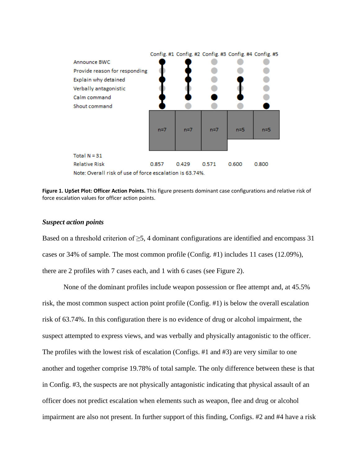

**Figure 1. UpSet Plot: Officer Action Points.** This figure presents dominant case configurations and relative risk of force escalation values for officer action points.

#### *Suspect action points*

Based on a threshold criterion of  $\geq$ 5, 4 dominant configurations are identified and encompass 31 cases or 34% of sample. The most common profile (Config. #1) includes 11 cases (12.09%), there are 2 profiles with 7 cases each, and 1 with 6 cases (see Figure 2).

None of the dominant profiles include weapon possession or flee attempt and, at 45.5% risk, the most common suspect action point profile (Config. #1) is below the overall escalation risk of 63.74%. In this configuration there is no evidence of drug or alcohol impairment, the suspect attempted to express views, and was verbally and physically antagonistic to the officer. The profiles with the lowest risk of escalation (Configs. #1 and #3) are very similar to one another and together comprise 19.78% of total sample. The only difference between these is that in Config. #3, the suspects are not physically antagonistic indicating that physical assault of an officer does not predict escalation when elements such as weapon, flee and drug or alcohol impairment are also not present. In further support of this finding, Configs. #2 and #4 have a risk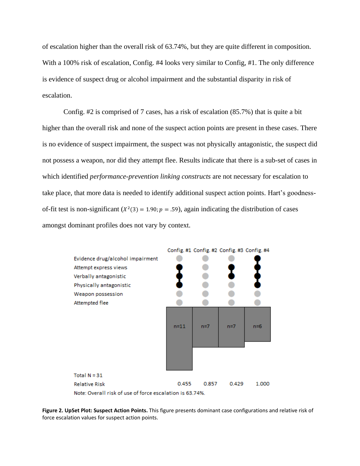of escalation higher than the overall risk of 63.74%, but they are quite different in composition. With a 100% risk of escalation, Config. #4 looks very similar to Config, #1. The only difference is evidence of suspect drug or alcohol impairment and the substantial disparity in risk of escalation.

Config. #2 is comprised of 7 cases, has a risk of escalation (85.7%) that is quite a bit higher than the overall risk and none of the suspect action points are present in these cases. There is no evidence of suspect impairment, the suspect was not physically antagonistic, the suspect did not possess a weapon, nor did they attempt flee. Results indicate that there is a sub-set of cases in which identified *performance-prevention linking constructs* are not necessary for escalation to take place, that more data is needed to identify additional suspect action points. Hart's goodnessof-fit test is non-significant ( $X^2(3) = 1.90; p = .59$ ), again indicating the distribution of cases amongst dominant profiles does not vary by context.



**Figure 2. UpSet Plot: Suspect Action Points.** This figure presents dominant case configurations and relative risk of force escalation values for suspect action points.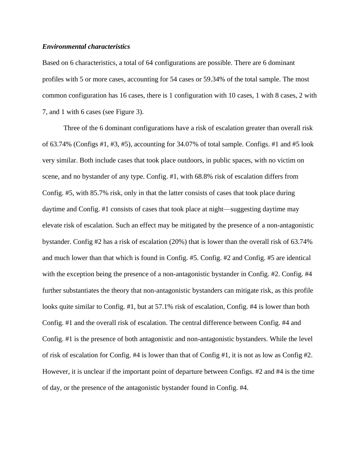### *Environmental characteristics*

Based on 6 characteristics, a total of 64 configurations are possible. There are 6 dominant profiles with 5 or more cases, accounting for 54 cases or 59.34% of the total sample. The most common configuration has 16 cases, there is 1 configuration with 10 cases, 1 with 8 cases, 2 with 7, and 1 with 6 cases (see Figure 3).

Three of the 6 dominant configurations have a risk of escalation greater than overall risk of  $63.74\%$  (Configs  $\#1, \#3, \#5$ ), accounting for  $34.07\%$  of total sample. Configs.  $\#1$  and  $\#5$  look very similar. Both include cases that took place outdoors, in public spaces, with no victim on scene, and no bystander of any type. Config. #1, with 68.8% risk of escalation differs from Config. #5, with 85.7% risk, only in that the latter consists of cases that took place during daytime and Config. #1 consists of cases that took place at night—suggesting daytime may elevate risk of escalation. Such an effect may be mitigated by the presence of a non-antagonistic bystander. Config #2 has a risk of escalation (20%) that is lower than the overall risk of 63.74% and much lower than that which is found in Config. #5. Config. #2 and Config. #5 are identical with the exception being the presence of a non-antagonistic bystander in Config. #2. Config. #4 further substantiates the theory that non-antagonistic bystanders can mitigate risk, as this profile looks quite similar to Config. #1, but at 57.1% risk of escalation, Config. #4 is lower than both Config. #1 and the overall risk of escalation. The central difference between Config. #4 and Config. #1 is the presence of both antagonistic and non-antagonistic bystanders. While the level of risk of escalation for Config. #4 is lower than that of Config #1, it is not as low as Config #2. However, it is unclear if the important point of departure between Configs. #2 and #4 is the time of day, or the presence of the antagonistic bystander found in Config. #4.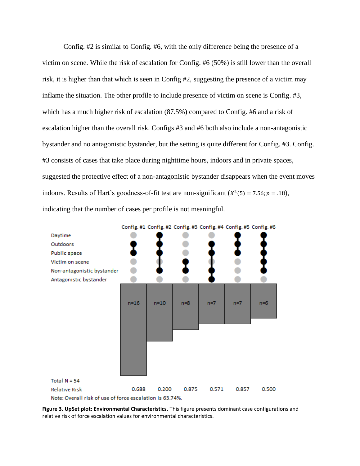Config. #2 is similar to Config. #6, with the only difference being the presence of a victim on scene. While the risk of escalation for Config. #6 (50%) is still lower than the overall risk, it is higher than that which is seen in Config #2, suggesting the presence of a victim may inflame the situation. The other profile to include presence of victim on scene is Config. #3, which has a much higher risk of escalation (87.5%) compared to Config. #6 and a risk of escalation higher than the overall risk. Configs #3 and #6 both also include a non-antagonistic bystander and no antagonistic bystander, but the setting is quite different for Config. #3. Config. #3 consists of cases that take place during nighttime hours, indoors and in private spaces, suggested the protective effect of a non-antagonistic bystander disappears when the event moves indoors. Results of Hart's goodness-of-fit test are non-significant  $(X^2(5) = 7.56; p = .18)$ , indicating that the number of cases per profile is not meaningful.



**Figure 3. UpSet plot: Environmental Characteristics.** This figure presents dominant case configurations and relative risk of force escalation values for environmental characteristics.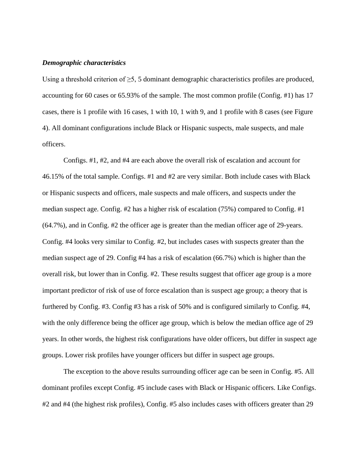#### *Demographic characteristics*

Using a threshold criterion of  $\geq$ 5, 5 dominant demographic characteristics profiles are produced, accounting for 60 cases or 65.93% of the sample. The most common profile (Config. #1) has 17 cases, there is 1 profile with 16 cases, 1 with 10, 1 with 9, and 1 profile with 8 cases (see Figure 4). All dominant configurations include Black or Hispanic suspects, male suspects, and male officers.

Configs. #1, #2, and #4 are each above the overall risk of escalation and account for 46.15% of the total sample. Configs. #1 and #2 are very similar. Both include cases with Black or Hispanic suspects and officers, male suspects and male officers, and suspects under the median suspect age. Config. #2 has a higher risk of escalation (75%) compared to Config. #1 (64.7%), and in Config. #2 the officer age is greater than the median officer age of 29-years. Config. #4 looks very similar to Config. #2, but includes cases with suspects greater than the median suspect age of 29. Config #4 has a risk of escalation (66.7%) which is higher than the overall risk, but lower than in Config. #2. These results suggest that officer age group is a more important predictor of risk of use of force escalation than is suspect age group; a theory that is furthered by Config. #3. Config #3 has a risk of 50% and is configured similarly to Config. #4, with the only difference being the officer age group, which is below the median office age of 29 years. In other words, the highest risk configurations have older officers, but differ in suspect age groups. Lower risk profiles have younger officers but differ in suspect age groups.

The exception to the above results surrounding officer age can be seen in Config. #5. All dominant profiles except Config. #5 include cases with Black or Hispanic officers. Like Configs. #2 and #4 (the highest risk profiles), Config. #5 also includes cases with officers greater than 29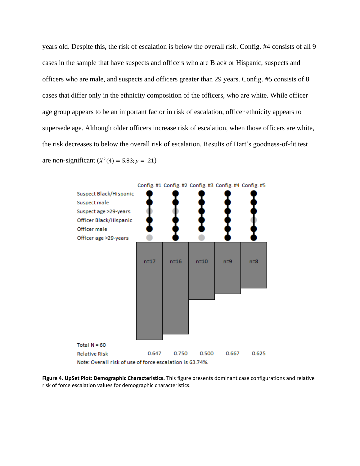years old. Despite this, the risk of escalation is below the overall risk. Config. #4 consists of all 9 cases in the sample that have suspects and officers who are Black or Hispanic, suspects and officers who are male, and suspects and officers greater than 29 years. Config. #5 consists of 8 cases that differ only in the ethnicity composition of the officers, who are white. While officer age group appears to be an important factor in risk of escalation, officer ethnicity appears to supersede age. Although older officers increase risk of escalation, when those officers are white, the risk decreases to below the overall risk of escalation. Results of Hart's goodness-of-fit test are non-significant  $(X^2(4) = 5.83; p = .21)$ 



**Figure 4. UpSet Plot: Demographic Characteristics.** This figure presents dominant case configurations and relative risk of force escalation values for demographic characteristics.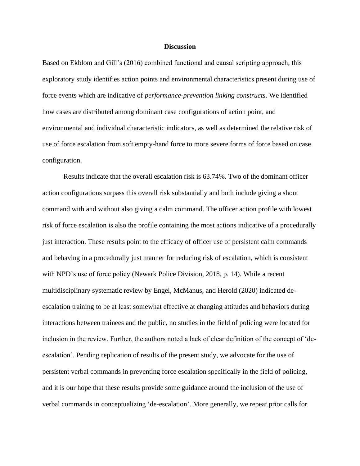#### **Discussion**

Based on Ekblom and Gill's (2016) combined functional and causal scripting approach, this exploratory study identifies action points and environmental characteristics present during use of force events which are indicative of *performance-prevention linking constructs*. We identified how cases are distributed among dominant case configurations of action point, and environmental and individual characteristic indicators, as well as determined the relative risk of use of force escalation from soft empty-hand force to more severe forms of force based on case configuration.

Results indicate that the overall escalation risk is 63.74%. Two of the dominant officer action configurations surpass this overall risk substantially and both include giving a shout command with and without also giving a calm command. The officer action profile with lowest risk of force escalation is also the profile containing the most actions indicative of a procedurally just interaction. These results point to the efficacy of officer use of persistent calm commands and behaving in a procedurally just manner for reducing risk of escalation, which is consistent with NPD's use of force policy (Newark Police Division, 2018, p. 14). While a recent multidisciplinary systematic review by Engel, McManus, and Herold (2020) indicated deescalation training to be at least somewhat effective at changing attitudes and behaviors during interactions between trainees and the public, no studies in the field of policing were located for inclusion in the review. Further, the authors noted a lack of clear definition of the concept of 'deescalation'. Pending replication of results of the present study, we advocate for the use of persistent verbal commands in preventing force escalation specifically in the field of policing, and it is our hope that these results provide some guidance around the inclusion of the use of verbal commands in conceptualizing 'de-escalation'. More generally, we repeat prior calls for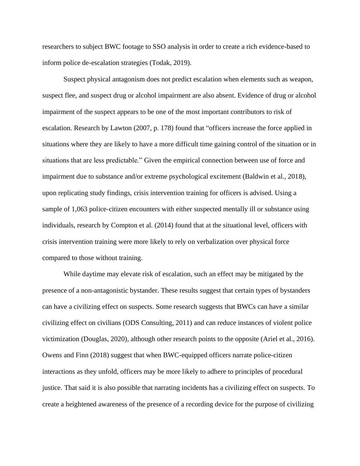researchers to subject BWC footage to SSO analysis in order to create a rich evidence-based to inform police de-escalation strategies (Todak, 2019).

Suspect physical antagonism does not predict escalation when elements such as weapon, suspect flee, and suspect drug or alcohol impairment are also absent. Evidence of drug or alcohol impairment of the suspect appears to be one of the most important contributors to risk of escalation. Research by Lawton (2007, p. 178) found that "officers increase the force applied in situations where they are likely to have a more difficult time gaining control of the situation or in situations that are less predictable." Given the empirical connection between use of force and impairment due to substance and/or extreme psychological excitement (Baldwin et al., 2018), upon replicating study findings, crisis intervention training for officers is advised. Using a sample of 1,063 police-citizen encounters with either suspected mentally ill or substance using individuals, research by Compton et al. (2014) found that at the situational level, officers with crisis intervention training were more likely to rely on verbalization over physical force compared to those without training.

While daytime may elevate risk of escalation, such an effect may be mitigated by the presence of a non-antagonistic bystander. These results suggest that certain types of bystanders can have a civilizing effect on suspects. Some research suggests that BWCs can have a similar civilizing effect on civilians (ODS Consulting, 2011) and can reduce instances of violent police victimization (Douglas, 2020), although other research points to the opposite (Ariel et al., 2016). Owens and Finn (2018) suggest that when BWC-equipped officers narrate police-citizen interactions as they unfold, officers may be more likely to adhere to principles of procedural justice. That said it is also possible that narrating incidents has a civilizing effect on suspects. To create a heightened awareness of the presence of a recording device for the purpose of civilizing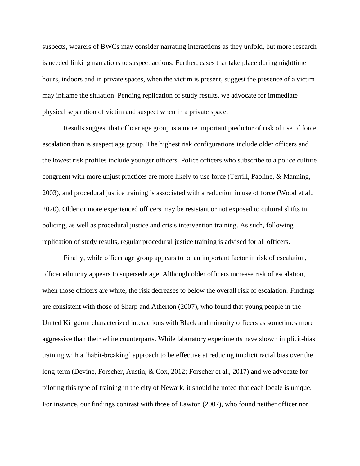suspects, wearers of BWCs may consider narrating interactions as they unfold, but more research is needed linking narrations to suspect actions. Further, cases that take place during nighttime hours, indoors and in private spaces, when the victim is present, suggest the presence of a victim may inflame the situation. Pending replication of study results, we advocate for immediate physical separation of victim and suspect when in a private space.

Results suggest that officer age group is a more important predictor of risk of use of force escalation than is suspect age group. The highest risk configurations include older officers and the lowest risk profiles include younger officers. Police officers who subscribe to a police culture congruent with more unjust practices are more likely to use force (Terrill, Paoline, & Manning, 2003), and procedural justice training is associated with a reduction in use of force (Wood et al., 2020). Older or more experienced officers may be resistant or not exposed to cultural shifts in policing, as well as procedural justice and crisis intervention training. As such, following replication of study results, regular procedural justice training is advised for all officers.

Finally, while officer age group appears to be an important factor in risk of escalation, officer ethnicity appears to supersede age. Although older officers increase risk of escalation, when those officers are white, the risk decreases to below the overall risk of escalation. Findings are consistent with those of Sharp and Atherton (2007), who found that young people in the United Kingdom characterized interactions with Black and minority officers as sometimes more aggressive than their white counterparts. While laboratory experiments have shown implicit-bias training with a 'habit-breaking' approach to be effective at reducing implicit racial bias over the long-term (Devine, Forscher, Austin, & Cox, 2012; Forscher et al., 2017) and we advocate for piloting this type of training in the city of Newark, it should be noted that each locale is unique. For instance, our findings contrast with those of Lawton (2007), who found neither officer nor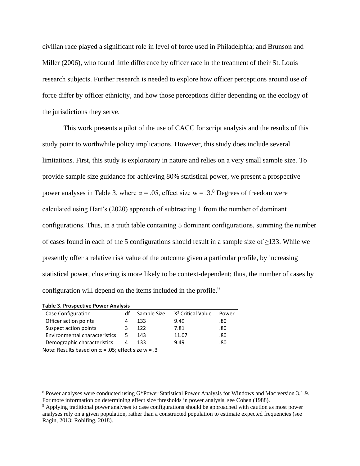civilian race played a significant role in level of force used in Philadelphia; and Brunson and Miller (2006), who found little difference by officer race in the treatment of their St. Louis research subjects. Further research is needed to explore how officer perceptions around use of force differ by officer ethnicity, and how those perceptions differ depending on the ecology of the jurisdictions they serve.

This work presents a pilot of the use of CACC for script analysis and the results of this study point to worthwhile policy implications. However, this study does include several limitations. First, this study is exploratory in nature and relies on a very small sample size. To provide sample size guidance for achieving 80% statistical power, we present a prospective power analyses in Table 3, where  $\alpha = .05$ , effect size w = .3.<sup>8</sup> Degrees of freedom were calculated using Hart's (2020) approach of subtracting 1 from the number of dominant configurations. Thus, in a truth table containing 5 dominant configurations, summing the number of cases found in each of the 5 configurations should result in a sample size of ≥133. While we presently offer a relative risk value of the outcome given a particular profile, by increasing statistical power, clustering is more likely to be context-dependent; thus, the number of cases by configuration will depend on the items included in the profile.<sup>9</sup>

| <b>TODIC 3. I TOSPECTIVE I OWEI ATTOLYSIS</b> |                |   |
|-----------------------------------------------|----------------|---|
| Case Configuration                            | df Sample Size | X |
|                                               |                |   |

**Table 3. Prospective Power Analysis**

| df | Sample Size | X <sup>2</sup> Critical Value | Power |
|----|-------------|-------------------------------|-------|
|    | 133         | 9.49                          | .80   |
|    | 122         | 7.81                          | .80   |
| 5  | 143         | 11.07                         | .80   |
| 4  | 133         | 949                           | .80   |
|    |             |                               |       |

Note: Results based on  $\alpha$  = .05; effect size w = .3

<sup>8</sup> Power analyses were conducted using G\*Power Statistical Power Analysis for Windows and Mac version 3.1.9. For more information on determining effect size thresholds in power analysis, see Cohen (1988).

<sup>9</sup> Applying traditional power analyses to case configurations should be approached with caution as most power analyses rely on a given population, rather than a constructed population to estimate expected frequencies (see Ragin, 2013; Rohlfing, 2018).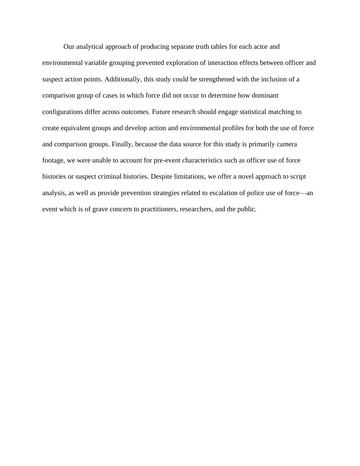Our analytical approach of producing separate truth tables for each actor and environmental variable grouping prevented exploration of interaction effects between officer and suspect action points. Additionally, this study could be strengthened with the inclusion of a comparison group of cases in which force did not occur to determine how dominant configurations differ across outcomes. Future research should engage statistical matching to create equivalent groups and develop action and environmental profiles for both the use of force and comparison groups. Finally, because the data source for this study is primarily camera footage, we were unable to account for pre-event characteristics such as officer use of force histories or suspect criminal histories. Despite limitations, we offer a novel approach to script analysis, as well as provide prevention strategies related to escalation of police use of force—an event which is of grave concern to practitioners, researchers, and the public.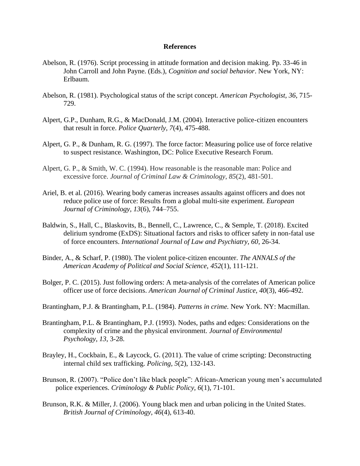### **References**

- Abelson, R. (1976). Script processing in attitude formation and decision making. Pp. 33-46 in John Carroll and John Payne. (Eds.), *Cognition and social behavior*. New York, NY: Erlbaum.
- Abelson, R. (1981). Psychological status of the script concept. *American Psychologist, 36*, 715- 729.
- Alpert, G.P., Dunham, R.G., & MacDonald, J.M. (2004). Interactive police-citizen encounters that result in force. *Police Quarterly, 7*(4), 475-488.
- Alpert, G. P., & Dunham, R. G. (1997). The force factor: Measuring police use of force relative to suspect resistance. Washington, DC: Police Executive Research Forum.
- Alpert, G. P., & Smith, W. C. (1994). How reasonable is the reasonable man: Police and excessive force. *Journal of Criminal Law & Criminology*, *85*(2), 481-501.
- Ariel, B. et al. (2016). Wearing body cameras increases assaults against officers and does not reduce police use of force: Results from a global multi-site experiment. *European Journal of Criminology, 13*(6), 744–755.
- Baldwin, S., Hall, C., Blaskovits, B., Bennell, C., Lawrence, C., & Semple, T. (2018). Excited delirium syndrome (ExDS): Situational factors and risks to officer safety in non-fatal use of force encounters. *International Journal of Law and Psychiatry, 60*, 26-34.
- Binder, A., & Scharf, P. (1980). The violent police-citizen encounter. *The ANNALS of the American Academy of Political and Social Science*, *452*(1), 111-121.
- Bolger, P. C. (2015). Just following orders: A meta-analysis of the correlates of American police officer use of force decisions. *American Journal of Criminal Justice*, *40*(3), 466-492.
- Brantingham, P.J. & Brantingham, P.L. (1984). *Patterns in crime.* New York. NY: Macmillan.
- Brantingham, P.L. & Brantingham, P.J. (1993). Nodes, paths and edges: Considerations on the complexity of crime and the physical environment. *Journal of Environmental Psychology, 13*, 3-28.
- Brayley, H., Cockbain, E., & Laycock, G. (2011). The value of crime scripting: Deconstructing internal child sex trafficking. *Policing, 5*(2), 132-143.
- Brunson, R. (2007). "Police don't like black people": African-American young men's accumulated police experiences. *Criminology & Public Policy, 6*(1), 71-101.
- Brunson, R.K. & Miller, J. (2006). Young black men and urban policing in the United States. *British Journal of Criminology, 46*(4), 613-40.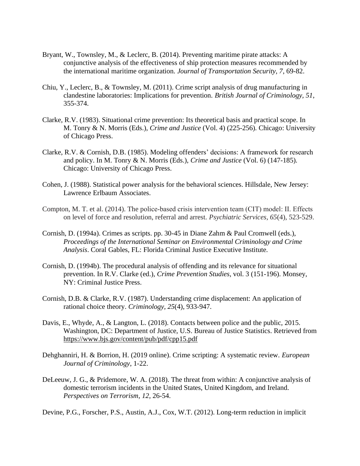- Bryant, W., Townsley, M., & Leclerc, B. (2014). Preventing maritime pirate attacks: A conjunctive analysis of the effectiveness of ship protection measures recommended by the international maritime organization. *Journal of Transportation Security, 7*, 69-82.
- Chiu, Y., Leclerc, B., & Townsley, M. (2011). Crime script analysis of drug manufacturing in clandestine laboratories: Implications for prevention. *British Journal of Criminology, 51*, 355-374.
- Clarke, R.V. (1983). Situational crime prevention: Its theoretical basis and practical scope. In M. Tonry & N. Morris (Eds.), *Crime and Justice* (Vol. 4) (225-256)*.* Chicago: University of Chicago Press.
- Clarke, R.V. & Cornish, D.B. (1985). Modeling offenders' decisions: A framework for research and policy. In M. Tonry & N. Morris (Eds.), *Crime and Justice* (Vol. 6) (147-185)*.* Chicago: University of Chicago Press.
- Cohen, J. (1988). Statistical power analysis for the behavioral sciences. Hillsdale, New Jersey: Lawrence Erlbaum Associates.
- Compton, M. T. et al. (2014). The police‐based crisis intervention team (CIT) model: II. Effects on level of force and resolution, referral and arrest. *Psychiatric Services, 65*(4), 523-529.
- Cornish, D. (1994a). Crimes as scripts. pp. 30-45 in Diane Zahm & Paul Cromwell (eds.), *Proceedings of the International Seminar on Environmental Criminology and Crime Analysis*. Coral Gables, FL: Florida Criminal Justice Executive Institute.
- Cornish, D. (1994b). The procedural analysis of offending and its relevance for situational prevention. In R.V. Clarke (ed.), *Crime Prevention Studies*, vol. 3 (151-196). Monsey, NY: Criminal Justice Press.
- Cornish, D.B. & Clarke, R.V. (1987). Understanding crime displacement: An application of rational choice theory. *Criminology, 25*(4), 933-947.
- Davis, E., Whyde, A., & Langton, L. (2018). Contacts between police and the public, 2015. Washington, DC: Department of Justice, U.S. Bureau of Justice Statistics. Retrieved from <https://www.bjs.gov/content/pub/pdf/cpp15.pdf>
- Dehghanniri, H. & Borrion, H. (2019 online). Crime scripting: A systematic review. *European Journal of Criminology*, 1-22.
- DeLeeuw, J. G., & Pridemore, W. A. (2018). The threat from within: A conjunctive analysis of domestic terrorism incidents in the United States, United Kingdom, and Ireland. *Perspectives on Terrorism*, *12*, 26-54.

Devine, P.G., Forscher, P.S., Austin, A.J., Cox, W.T. (2012). Long-term reduction in implicit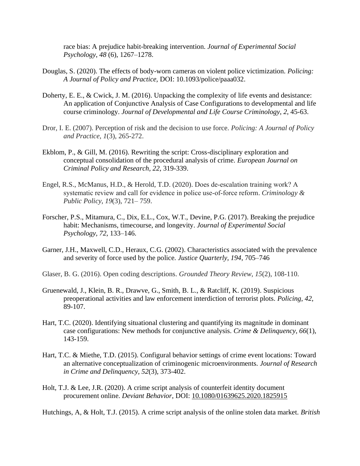race bias: A prejudice habit-breaking intervention. *Journal of Experimental Social Psychology*, *48* (6), 1267–1278.

- Douglas, S. (2020). The effects of body-worn cameras on violent police victimization. *Policing: A Journal of Policy and Practice,* DOI: 10.1093/police/paaa032.
- Doherty, E. E., & Cwick, J. M. (2016). Unpacking the complexity of life events and desistance: An application of Conjunctive Analysis of Case Configurations to developmental and life course criminology. *Journal of Developmental and Life Course Criminology*, *2*, 45-63.
- Dror, I. E. (2007). Perception of risk and the decision to use force. *Policing: A Journal of Policy and Practice*, *1*(3), 265-272.
- Ekblom, P., & Gill, M. (2016). Rewriting the script: Cross-disciplinary exploration and conceptual consolidation of the procedural analysis of crime. *European Journal on Criminal Policy and Research, 22*, 319-339.
- Engel, R.S., McManus, H.D., & Herold, T.D. (2020). Does de‐escalation training work? A systematic review and call for evidence in police use‐of‐force reform. *Criminology & Public Policy, 19*(3), 721– 759.
- Forscher, P.S., Mitamura, C., Dix, E.L., Cox, W.T., Devine, P.G. (2017). Breaking the prejudice habit: Mechanisms, timecourse, and longevity. *Journal of Experimental Social Psychology, 72*, 133–146.
- Garner, J.H., Maxwell, C.D., Heraux, C.G. (2002). Characteristics associated with the prevalence and severity of force used by the police. *Justice Quarterly, 194*, 705–746
- Glaser, B. G. (2016). Open coding descriptions. *Grounded Theory Review*, *15*(2), 108-110.
- Gruenewald, J., Klein, B. R., Drawve, G., Smith, B. L., & Ratcliff, K. (2019). Suspicious preoperational activities and law enforcement interdiction of terrorist plots. *Policing*, *42*, 89-107.
- Hart, T.C. (2020). Identifying situational clustering and quantifying its magnitude in dominant case configurations: New methods for conjunctive analysis. *Crime & Delinquency, 66*(1), 143-159.
- Hart, T.C. & Miethe, T.D. (2015). Configural behavior settings of crime event locations: Toward an alternative conceptualization of criminogenic microenvironments. *Journal of Research in Crime and Delinquency, 52*(3), 373-402.
- Holt, T.J. & Lee, J.R. (2020). A crime script analysis of counterfeit identity document procurement online. *Deviant Behavior*, DOI: [10.1080/01639625.2020.1825915](https://doi.org/10.1080/01639625.2020.1825915)

Hutchings, A, & Holt, T.J. (2015). A crime script analysis of the online stolen data market. *British*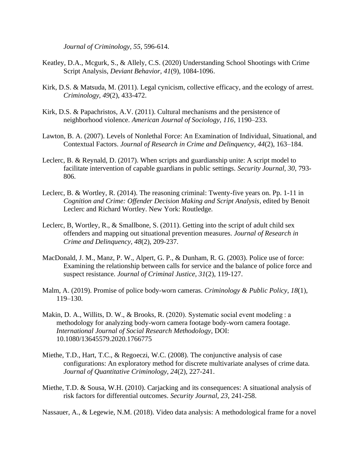*Journal of Criminology, 55*, 596-614.

- Keatley, D.A., Mcgurk, S., & Allely, C.S. (2020) Understanding School Shootings with Crime Script Analysis, *Deviant Behavior, 41*(9), 1084-1096.
- Kirk, D.S. & Matsuda, M. (2011). Legal cynicism, collective efficacy, and the ecology of arrest. *Criminology, 49*(2), 433-472.
- Kirk, D.S. & Papachristos, A.V. (2011). Cultural mechanisms and the persistence of neighborhood violence. *American Journal of Sociology, 116*, 1190–233.
- Lawton, B. A. (2007). Levels of Nonlethal Force: An Examination of Individual, Situational, and Contextual Factors. *Journal of Research in Crime and Delinquency*, *44*(2), 163–184.
- Leclerc, B. & Reynald, D. (2017). When scripts and guardianship unite: A script model to facilitate intervention of capable guardians in public settings. *Security Journal, 30*, 793- 806.
- Leclerc, B. & Wortley, R. (2014). The reasoning criminal: Twenty-five years on. Pp. 1-11 in *Cognition and Crime: Offender Decision Making and Script Analysis*, edited by Benoit Leclerc and Richard Wortley. New York: Routledge.
- Leclerc, B, Wortley, R., & Smallbone, S. (2011). Getting into the script of adult child sex offenders and mapping out situational prevention measures. *Journal of Research in Crime and Delinquency, 48*(2), 209-237.
- MacDonald, J. M., Manz, P. W., Alpert, G. P., & Dunham, R. G. (2003). Police use of force: Examining the relationship between calls for service and the balance of police force and suspect resistance. *Journal of Criminal Justice*, *31*(2), 119-127.
- Malm, A. (2019). Promise of police body-worn cameras. *Criminology & Public Policy*, *18*(1), 119–130.
- Makin, D. A., Willits, D. W., & Brooks, R. (2020). Systematic social event modeling : a methodology for analyzing body-worn camera footage body-worn camera footage. *International Journal of Social Research Methodology*, DOI: 10.1080/13645579.2020.1766775
- Miethe, T.D., Hart, T.C., & Regoeczi, W.C. (2008). The conjunctive analysis of case configurations: An exploratory method for discrete multivariate analyses of crime data. *Journal of Quantitative Criminology, 24*(2), 227-241.
- Miethe, T.D. & Sousa, W.H. (2010). Carjacking and its consequences: A situational analysis of risk factors for differential outcomes. *Security Journal, 23*, 241-258.

Nassauer, A., & Legewie, N.M. (2018). Video data analysis: A methodological frame for a novel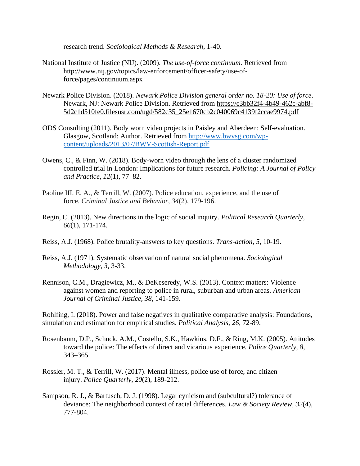research trend. *Sociological Methods & Research*, 1-40.

- National Institute of Justice (NIJ). (2009). *The use-of-force continuum.* Retrieved from http://www.nij.gov/topics/law-enforcement/officer-safety/use-offorce/pages/continuum.aspx
- Newark Police Division. (2018). *Newark Police Division general order no. 18-20: Use of force*. Newark, NJ: Newark Police Division. Retrieved from [https://c3bb32f4-4b49-462c-abf8-](https://c3bb32f4-4b49-462c-abf8-5d2c1d510fe0.filesusr.com/ugd/582c35_25e1670cb2c040069c4139f2ccae9974.pdf) [5d2c1d510fe0.filesusr.com/ugd/582c35\\_25e1670cb2c040069c4139f2ccae9974.pdf](https://c3bb32f4-4b49-462c-abf8-5d2c1d510fe0.filesusr.com/ugd/582c35_25e1670cb2c040069c4139f2ccae9974.pdf)
- ODS Consulting (2011). Body worn video projects in Paisley and Aberdeen: Self-evaluation. Glasgow, Scotland: Author. Retrieved from [http://www.bwvsg.com/wp](http://www.bwvsg.com/wp-content/uploads/2013/07/BWV-Scottish-Report.pdf)[content/uploads/2013/07/BWV-Scottish-Report.pdf](http://www.bwvsg.com/wp-content/uploads/2013/07/BWV-Scottish-Report.pdf)
- Owens, C., & Finn, W. (2018). Body-worn video through the lens of a cluster randomized controlled trial in London: Implications for future research. *Policing: A Journal of Policy and Practice, 12*(1), 77–82.
- Paoline III, E. A., & Terrill, W. (2007). Police education, experience, and the use of force. *Criminal Justice and Behavior*, *34*(2), 179-196.
- Regin, C. (2013). New directions in the logic of social inquiry. *Political Research Quarterly, 66*(1), 171-174.
- Reiss, A.J. (1968). Police brutality-answers to key questions. *Trans-action, 5*, 10-19.
- Reiss, A.J. (1971). Systematic observation of natural social phenomena. *Sociological Methodology, 3*, 3-33.
- Rennison, C.M., Dragiewicz, M., & DeKeseredy, W.S. (2013). Context matters: Violence against women and reporting to police in rural, suburban and urban areas. *American Journal of Criminal Justice, 38*, 141-159.

Rohlfing, I. (2018). Power and false negatives in qualitative comparative analysis: Foundations, simulation and estimation for empirical studies. *Political Analysis, 26*, 72-89.

- Rosenbaum, D.P., Schuck, A.M., Costello, S.K., Hawkins, D.F., & Ring, M.K. (2005). Attitudes toward the police: The effects of direct and vicarious experience. *Police Quarterly, 8*, 343–365.
- Rossler, M. T., & Terrill, W. (2017). Mental illness, police use of force, and citizen injury. *Police Quarterly*, *20*(2), 189-212.
- Sampson, R. J., & Bartusch, D. J. (1998). Legal cynicism and (subcultural?) tolerance of deviance: The neighborhood context of racial differences. *Law & Society Review, 32*(4), 777-804.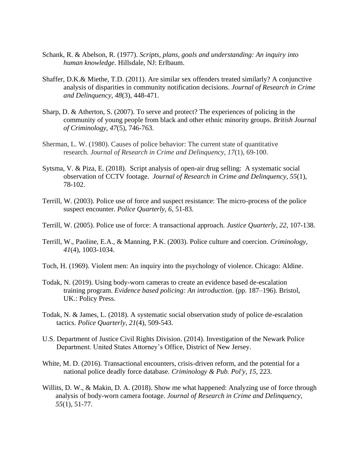- Schank, R. & Abelson, R. (1977). *Scripts, plans, goals and understanding: An inquiry into human knowledge*. Hillsdale, NJ: Erlbaum.
- Shaffer, D.K.& Miethe, T.D. (2011). Are similar sex offenders treated similarly? A conjunctive analysis of disparities in community notification decisions*. Journal of Research in Crime and Delinquency, 48*(3), 448-471.
- Sharp, D. & Atherton, S. (2007). To serve and protect? The experiences of policing in the community of young people from black and other ethnic minority groups. *British Journal of Criminology, 47*(5), 746-763.
- Sherman, L. W. (1980). Causes of police behavior: The current state of quantitative research. *Journal of Research in Crime and Delinquency*, *17*(1), 69-100.
- Sytsma, V. & Piza, E. (2018). Script analysis of open-air drug selling: A systematic social observation of CCTV footage. *Journal of Research in Crime and Delinquency, 55*(1), 78-102.
- Terrill, W. (2003). Police use of force and suspect resistance: The micro-process of the police suspect encounter. *Police Quarterly, 6*, 51-83.
- Terrill, W. (2005). Police use of force: A transactional approach. *Justice Quarterly, 22*, 107-138.
- Terrill, W., Paoline, E.A., & Manning, P.K. (2003). Police culture and coercion. *Criminology, 41*(4), 1003-1034.
- Toch, H. (1969). Violent men: An inquiry into the psychology of violence. Chicago: Aldine.
- Todak, N. (2019). Using body-worn cameras to create an evidence based de-escalation training program. *Evidence based policing: An introduction*. (pp. 187–196). Bristol, UK.: Policy Press.
- Todak, N. & James, L. (2018). A systematic social observation study of police de-escalation tactics. *Police Quarterly, 21*(4), 509-543.
- U.S. Department of Justice Civil Rights Division. (2014). Investigation of the Newark Police Department. United States Attorney's Office, District of New Jersey.
- White, M. D. (2016). Transactional encounters, crisis-driven reform, and the potential for a national police deadly force database. *Criminology & Pub. Pol'y*, *15*, 223.
- Willits, D. W., & Makin, D. A. (2018). Show me what happened: Analyzing use of force through analysis of body-worn camera footage. *Journal of Research in Crime and Delinquency*, *55*(1), 51-77.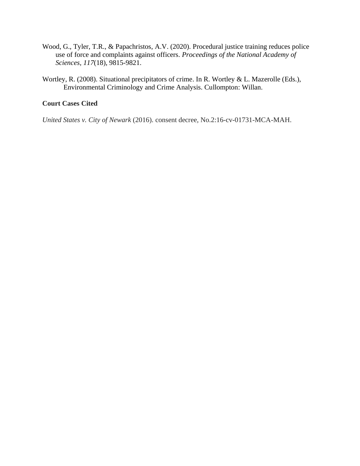- Wood, G., Tyler, T.R., & Papachristos, A.V. (2020). Procedural justice training reduces police use of force and complaints against officers. *Proceedings of the National Academy of Sciences, 117*(18), 9815-9821.
- Wortley, R. (2008). Situational precipitators of crime. In R. Wortley & L. Mazerolle (Eds.), Environmental Criminology and Crime Analysis. Cullompton: Willan.

## **Court Cases Cited**

*United States v. City of Newark* (2016). consent decree, No.2:16-cv-01731-MCA-MAH.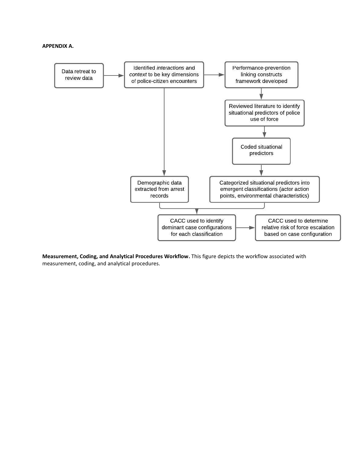#### **APPENDIX A.**



**Measurement, Coding, and Analytical Procedures Workflow.** This figure depicts the workflow associated with measurement, coding, and analytical procedures.